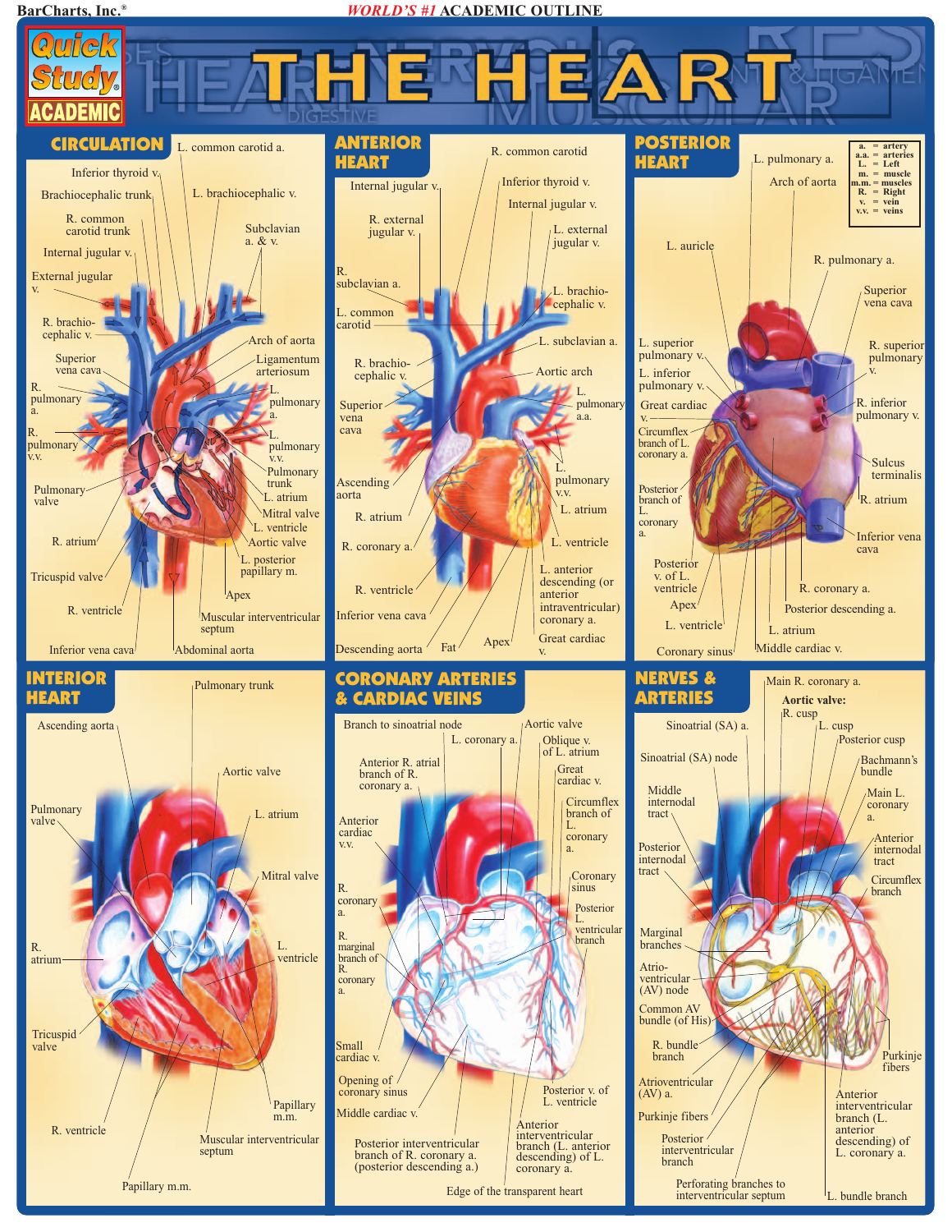**BarCharts, Inc.®** *WORLD'S #1* **ACADEMIC OUTLINE**